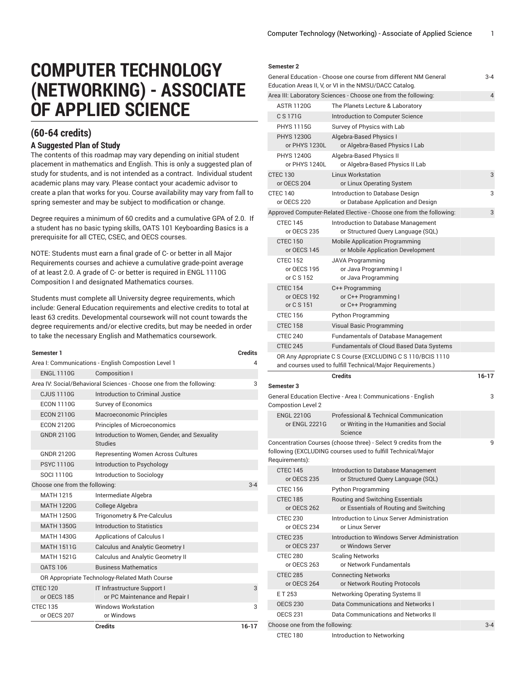## **COMPUTER TECHNOLOGY (NETWORKING) - ASSOCIATE OF APPLIED SCIENCE**

## **(60-64 credits) A Suggested Plan of Study**

The contents of this roadmap may vary depending on initial student placement in mathematics and English. This is only a suggested plan of study for students, and is not intended as a contract. Individual student academic plans may vary. Please contact your academic advisor to create a plan that works for you. Course availability may vary from fall to spring semester and may be subject to modification or change.

Degree requires a minimum of 60 credits and a cumulative GPA of 2.0. If a student has no basic typing skills, OATS 101 Keyboarding Basics is a prerequisite for all CTEC, CSEC, and OECS courses.

NOTE: Students must earn a final grade of C- or better in all Major Requirements courses and achieve a cumulative grade-point average of at least 2.0. A grade of C- or better is required in ENGL 1110G Composition I and designated Mathematics courses.

Students must complete all University degree requirements, which include: General Education requirements and elective credits to total at least 63 credits. Developmental coursework will not count towards the degree requirements and/or elective credits, but may be needed in order to take the necessary English and Mathematics coursework.

| Semester 1                                    |                                                                      | <b>Credits</b> |  |  |
|-----------------------------------------------|----------------------------------------------------------------------|----------------|--|--|
|                                               | Area I: Communications - English Compostion Level 1                  | Δ              |  |  |
| <b>ENGL 1110G</b>                             | <b>Composition I</b>                                                 |                |  |  |
|                                               | Area IV: Social/Behavioral Sciences - Choose one from the following: | 3              |  |  |
| <b>CJUS 1110G</b>                             | Introduction to Criminal Justice                                     |                |  |  |
| <b>ECON 1110G</b>                             | <b>Survey of Economics</b>                                           |                |  |  |
| <b>ECON 2110G</b>                             | Macroeconomic Principles                                             |                |  |  |
| <b>ECON 2120G</b>                             | <b>Principles of Microeconomics</b>                                  |                |  |  |
| <b>GNDR 2110G</b>                             | Introduction to Women, Gender, and Sexuality<br><b>Studies</b>       |                |  |  |
| <b>GNDR 2120G</b>                             | <b>Representing Women Across Cultures</b>                            |                |  |  |
| <b>PSYC1110G</b>                              | Introduction to Psychology                                           |                |  |  |
| <b>SOCI 1110G</b>                             | Introduction to Sociology                                            |                |  |  |
| Choose one from the following:                |                                                                      |                |  |  |
| <b>MATH 1215</b>                              | Intermediate Algebra                                                 |                |  |  |
| <b>MATH 1220G</b>                             | College Algebra                                                      |                |  |  |
| <b>MATH 1250G</b>                             | Trigonometry & Pre-Calculus                                          |                |  |  |
| <b>MATH 1350G</b>                             | <b>Introduction to Statistics</b>                                    |                |  |  |
| <b>MATH 1430G</b>                             | <b>Applications of Calculus I</b>                                    |                |  |  |
| <b>MATH 1511G</b>                             | <b>Calculus and Analytic Geometry I</b>                              |                |  |  |
| <b>MATH 1521G</b>                             | <b>Calculus and Analytic Geometry II</b>                             |                |  |  |
| <b>OATS 106</b>                               | <b>Business Mathematics</b>                                          |                |  |  |
| OR Appropriate Technology-Related Math Course |                                                                      |                |  |  |
| <b>CTEC 120</b><br>or OECS 185                | IT Infrastructure Support I<br>or PC Maintenance and Repair I        | 3              |  |  |
| <b>CTEC 135</b>                               | <b>Windows Workstation</b>                                           | 3              |  |  |
| or OECS 207                                   | or Windows                                                           |                |  |  |
|                                               | <b>Credits</b>                                                       | $16 - 17$      |  |  |

## **Semester 2**

| General Education - Choose one course from different NM General<br>Education Areas II, V, or VI in the NMSU/DACC Catalog. |                                    |                                                                                                                                  |           |
|---------------------------------------------------------------------------------------------------------------------------|------------------------------------|----------------------------------------------------------------------------------------------------------------------------------|-----------|
|                                                                                                                           |                                    | Area III: Laboratory Sciences - Choose one from the following:                                                                   | 4         |
|                                                                                                                           | <b>ASTR 1120G</b>                  | The Planets Lecture & Laboratory                                                                                                 |           |
|                                                                                                                           | C S 171G                           | Introduction to Computer Science                                                                                                 |           |
|                                                                                                                           | <b>PHYS 1115G</b>                  | Survey of Physics with Lab                                                                                                       |           |
|                                                                                                                           | <b>PHYS 1230G</b><br>or PHYS 1230L | Algebra-Based Physics I<br>or Algebra-Based Physics I Lab                                                                        |           |
|                                                                                                                           | <b>PHYS 1240G</b><br>or PHYS 1240L | Algebra-Based Physics II<br>or Algebra-Based Physics II Lab                                                                      |           |
| <b>CTEC 130</b>                                                                                                           | or OECS 204                        | <b>Linux Workstation</b><br>or Linux Operating System                                                                            | 3         |
| <b>CTEC 140</b>                                                                                                           | or OECS 220                        | Introduction to Database Design<br>or Database Application and Design                                                            | 3         |
|                                                                                                                           |                                    | Approved Computer-Related Elective - Choose one from the following:                                                              | 3         |
|                                                                                                                           | <b>CTEC 145</b><br>or OECS 235     | Introduction to Database Management<br>or Structured Query Language (SQL)                                                        |           |
|                                                                                                                           | <b>CTEC 150</b><br>or OECS 145     | <b>Mobile Application Programming</b><br>or Mobile Application Development                                                       |           |
|                                                                                                                           | <b>CTEC 152</b>                    | <b>JAVA Programming</b>                                                                                                          |           |
|                                                                                                                           | or OECS 195<br>or C S 152          | or Java Programming I<br>or Java Programming                                                                                     |           |
|                                                                                                                           | <b>CTEC 154</b>                    | C++ Programming                                                                                                                  |           |
|                                                                                                                           | or OECS 192                        | or C++ Programming I                                                                                                             |           |
|                                                                                                                           | or C S 151                         | or C++ Programming                                                                                                               |           |
|                                                                                                                           | <b>CTEC 156</b>                    | <b>Python Programming</b>                                                                                                        |           |
|                                                                                                                           | <b>CTEC 158</b>                    | Visual Basic Programming                                                                                                         |           |
|                                                                                                                           | <b>CTEC 240</b>                    | <b>Fundamentals of Database Management</b>                                                                                       |           |
|                                                                                                                           | <b>CTEC 245</b>                    | <b>Fundamentals of Cloud Based Data Systems</b>                                                                                  |           |
|                                                                                                                           |                                    | OR Any Appropriate C S Course (EXCLUDING C S 110/BCIS 1110                                                                       |           |
|                                                                                                                           |                                    | and courses used to fulfill Technical/Major Requirements.)                                                                       |           |
|                                                                                                                           |                                    | <b>Credits</b>                                                                                                                   | $16 - 17$ |
|                                                                                                                           | Semester 3                         |                                                                                                                                  |           |
|                                                                                                                           | <b>Compostion Level 2</b>          | General Education Elective - Area I: Communications - English                                                                    | 3         |
|                                                                                                                           | <b>ENGL 2210G</b><br>or ENGL 2221G | <b>Professional &amp; Technical Communication</b><br>or Writing in the Humanities and Social<br>Science                          |           |
|                                                                                                                           |                                    | Concentration Courses (choose three) - Select 9 credits from the<br>following (EXCLUDING courses used to fulfill Technical/Major | 9         |
|                                                                                                                           | Requirements):                     |                                                                                                                                  |           |
|                                                                                                                           | <b>CTEC 145</b><br>or OECS 235     | Introduction to Database Management<br>or Structured Query Language (SQL)                                                        |           |
|                                                                                                                           | <b>CTEC 156</b>                    | <b>Python Programming</b>                                                                                                        |           |
|                                                                                                                           | <b>CTEC 185</b><br>or OECS 262     | Routing and Switching Essentials<br>or Essentials of Routing and Switching                                                       |           |
|                                                                                                                           | <b>CTEC 230</b><br>or OECS 234     | Introduction to Linux Server Administration<br>or Linux Server                                                                   |           |
|                                                                                                                           | <b>CTEC 235</b><br>or OECS 237     | Introduction to Windows Server Administration<br>or Windows Server                                                               |           |
|                                                                                                                           | CTEC 280<br>or OECS 263            | <b>Scaling Networks</b><br>or Network Fundamentals                                                                               |           |
|                                                                                                                           | <b>CTEC 285</b><br>or OECS 264     | <b>Connecting Networks</b><br>or Network Routing Protocols                                                                       |           |
|                                                                                                                           | ET 253                             | Networking Operating Systems II                                                                                                  |           |
|                                                                                                                           | <b>OECS 230</b>                    | Data Communications and Networks I                                                                                               |           |
|                                                                                                                           | <b>OECS 231</b>                    | Data Communications and Networks II                                                                                              |           |
|                                                                                                                           | Choose one from the following:     |                                                                                                                                  | $3 - 4$   |
|                                                                                                                           | <b>CTEC 180</b>                    | Introduction to Networking                                                                                                       |           |